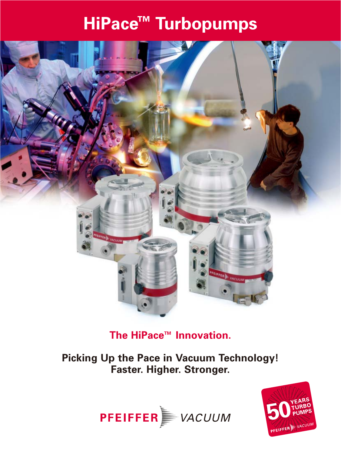# **HiPace™ Turbopumps**



### **The HiPace™ Innovation.**

**Picking Up the Pace in Vacuum Technology! Faster. Higher. Stronger.**



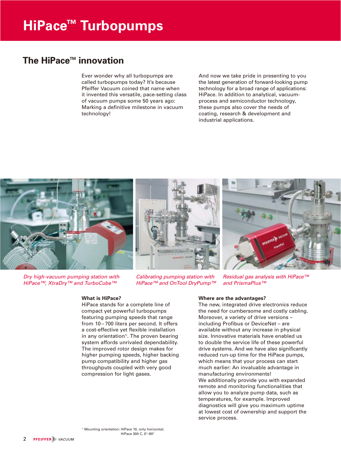#### **The HiPace<sup>™</sup> innovation**

Ever wonder why all turbopumps are called turbopumps today? It's because Pfeiffer Vacuum coined that name when it invented this versatile, pace-setting class of vacuum pumps some 50 years ago: Marking a definitive milestone in vacuum technology!

And now we take pride in presenting to you the latest generation of forward-looking pump technology for a broad range of applications: HiPace. In addition to analytical, vacuumprocess and semiconductor technology, these pumps also cover the needs of coating, research & development and industrial applications.



Dry high-vacuum pumping station with HiPace™, XtraDry™ and TurboCube™

#### **What is HiPace?**

HiPace stands for a complete line of compact yet powerful turbopumps featuring pumping speeds that range from 10 – 700 liters per second. It offers a cost-effective yet flexible installation in any orientation<sup>1)</sup>. The proven bearing system affords unrivaled dependability. The improved rotor design makes for higher pumping speeds, higher backing pump compatibility and higher gas throughputs coupled with very good compression for light gases.

Calibrating pumping station with HiPace™ and OnTool DryPump™

Residual gas analysis with HiPace™ and PrismaPlus™

#### **Where are the advantages?**

The new, integrated drive electronics reduce the need for cumbersome and costly cabling. Moreover, a variety of drive versions – including Profibus or DeviceNet – are available without any increase in physical size. Innovative materials have enabled us to double the service life of these powerful drive systems. And we have also significantly reduced run-up time for the HiPace pumps, which means that your process can start much earlier: An invaluable advantage in manufacturing environments! We additionally provide you with expanded remote and monitoring functionalities that allow you to analyze pump data, such as temperatures, for example. Improved diagnostics will give you maximum uptime at lowest cost of ownership and support the service process.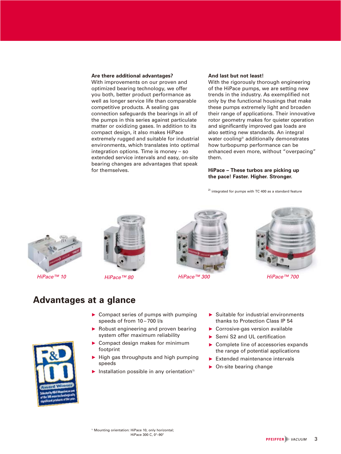#### **Are there additional advantages?**

With improvements on our proven and optimized bearing technology, we offer you both, better product performance as well as longer service life than comparable competitive products. A sealing gas connection safeguards the bearings in all of the pumps in this series against particulate matter or oxidizing gases. In addition to its compact design, it also makes HiPace extremely rugged and suitable for industrial environments, which translates into optimal integration options. Time is money – so extended service intervals and easy, on-site bearing changes are advantages that speak for themselves.

#### **And last but not least!**

With the rigorously thorough engineering of the HiPace pumps, we are setting new trends in the industry. As exemplified not only by the functional housings that make these pumps extremely light and broaden their range of applications. Their innovative rotor geometry makes for quieter operation and significantly improved gas loads are also setting new standards. An integral water cooling<sup>2)</sup> additionally demonstrates how turbopump performance can be enhanced even more, without "overpacing" them.

#### **HiPace – These turbos are picking up the pace! Faster. Higher. Stronger.**

 $2)$  integrated for pumps with TC 400 as a standard feature









#### **Advantages at a glance**

- $\triangleright$  Compact series of pumps with pumping speeds of from 10-700 l/s
- Robust engineering and proven bearing system offer maximum reliability
- ▶ Compact design makes for minimum footprint
- $\blacktriangleright$  High gas throughputs and high pumping speeds
- Installation possible in any orientation<sup>1)</sup>
- $\blacktriangleright$  Suitable for industrial environments thanks to Protection Class IP 54
- Corrosive-gas version available
- ▶ Semi S2 and UL certification
- ▶ Complete line of accessories expands the range of potential applications
- $\blacktriangleright$  Extended maintenance intervals
- ▶ On-site bearing change

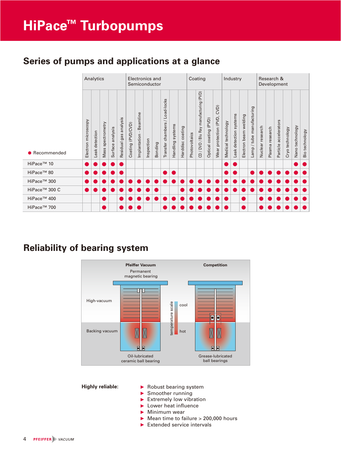### **Series of pumps and applications at a glance**

|                           |                        | Analytics         |                      |                     |                             |                   | Electronics and<br>Semiconductor |            |         | Coating                                                        |                     | Industry            |               | Research &<br>Development              |                             |                                     |                    |                           |                             |                               |                  |                    |                          |                 |                                 |                |
|---------------------------|------------------------|-------------------|----------------------|---------------------|-----------------------------|-------------------|----------------------------------|------------|---------|----------------------------------------------------------------|---------------------|---------------------|---------------|----------------------------------------|-----------------------------|-------------------------------------|--------------------|---------------------------|-----------------------------|-------------------------------|------------------|--------------------|--------------------------|-----------------|---------------------------------|----------------|
| • Recommended             | microscopy<br>Electron | detection<br>Leak | spectrometry<br>Mass | analysis<br>Surface | analysis<br>gas<br>Residual | Coating (PVD/CVD) | Beamline<br>Implantation         | Inspection | Bonding | Load-locks<br>$\overline{\phantom{0}}$<br>chambers<br>Transfer | systems<br>Handling | coating<br>Harddisc | Photovoltaics | CD / DVD / Blu Ray manufacturing (PVD) | (PVD)<br>coating<br>Optical | CVD)<br>(PVD,<br>protection<br>Wear | Medical technology | systems<br>Leak detection | welding<br>beam<br>Electron | manufacturing<br>tube<br>Lamp | Nuclear research | research<br>Plasma | accelerators<br>Particle | Cryo technology | technology<br>Nano <sup>-</sup> | Bio technology |
| HiPace <sup>™</sup> 10    |                        |                   |                      |                     |                             |                   |                                  |            |         |                                                                |                     |                     |               |                                        |                             |                                     |                    |                           |                             |                               |                  |                    |                          |                 |                                 |                |
| HiPace <sup>™</sup> 80    |                        |                   |                      |                     |                             |                   |                                  |            |         |                                                                |                     |                     |               |                                        |                             |                                     |                    |                           |                             |                               |                  |                    |                          |                 |                                 |                |
| HiPace <sup>™</sup> 300   |                        |                   |                      |                     |                             |                   |                                  |            |         |                                                                |                     |                     |               |                                        |                             |                                     |                    |                           |                             |                               |                  |                    |                          |                 |                                 |                |
| HiPace <sup>™</sup> 300 C |                        |                   |                      |                     |                             |                   |                                  |            |         |                                                                |                     |                     |               |                                        |                             |                                     |                    |                           |                             |                               |                  |                    |                          |                 |                                 |                |
| HiPace <sup>™</sup> 400   |                        |                   |                      |                     |                             |                   |                                  |            |         |                                                                |                     |                     |               |                                        |                             |                                     |                    |                           |                             |                               |                  |                    |                          |                 |                                 |                |
| HiPace <sup>™</sup> 700   |                        |                   |                      |                     |                             |                   |                                  |            |         |                                                                |                     |                     |               |                                        |                             |                                     |                    |                           |                             |                               |                  |                    |                          |                 |                                 |                |

#### **Reliability of bearing system**



#### **Highly reliable:**

- $\blacktriangleright$  Robust bearing system
- Smoother running
- Extremely low vibration
- **Lower heat influence**
- Minimum wear
- $\blacktriangleright$  Mean time to failure > 200,000 hours
- Extended service intervals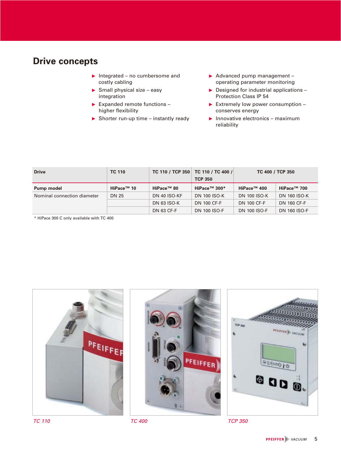#### **Drive concepts**

- $\blacktriangleright$  Integrated no cumbersome and costly cabling
- $\blacktriangleright$  Small physical size easy integration
- $\blacktriangleright$  Expanded remote functions higher flexibility
- $\blacktriangleright$  Shorter run-up time instantly ready
- Advanced pump management operating parameter monitoring
- $\blacktriangleright$  Designed for industrial applications -Protection Class IP 54
- Extremely low power consumption  $$ conserves energy
- $\blacktriangleright$  Innovative electronics maximum reliability

| <b>Drive</b>                | <b>TC 110</b>          |                        | TC 110 / TCP 350   TC 110 / TC 400 /<br><b>TCP 350</b> | TC 400 / TCP 350        |                         |
|-----------------------------|------------------------|------------------------|--------------------------------------------------------|-------------------------|-------------------------|
| Pump model                  | HiPace <sup>™</sup> 10 | HiPace <sup>™</sup> 80 | HiPace <sup>™</sup> 300*                               | HiPace <sup>™</sup> 400 | HiPace <sup>™</sup> 700 |
| Nominal connection diameter | <b>DN 25</b>           | DN 40 ISO-KF           | <b>DN 100 ISO-K</b>                                    | <b>DN 100 ISO-K</b>     | <b>DN 160 ISO-K</b>     |
|                             |                        | <b>DN 63 ISO-K</b>     | <b>DN 100 CF-F</b>                                     | <b>DN 100 CF-F</b>      | <b>DN 160 CF-F</b>      |
|                             |                        | <b>DN 63 CF-F</b>      | <b>DN 100 ISO-F</b>                                    | <b>DN 100 ISO-F</b>     | <b>DN 160 ISO-F</b>     |

\* HiPace 300 C only available with TC 400



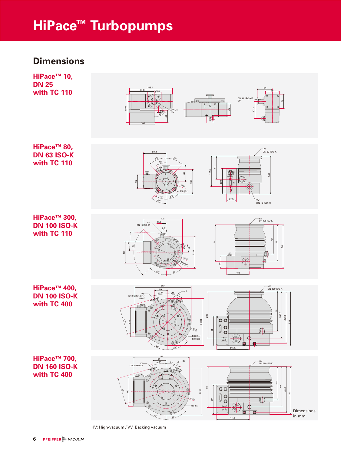## **HiPace™ Turbopumps**

#### **Dimensions**





ଟ 119.5

100

37.5

**HiPace™ 80, DN 63 ISO-K with TC 110**

 $HiPace™ 300,$ **DN 100 ISO-K with TC 110**



89.3

43°

30°

35° 43°

40°

43°

M5 (6x)

Ø86 Ø97

55



HV DN 63 ISO-K

149

VV DN 16 ISO-KF

**HiPace™ 400, DN 100 ISO-K with TC 400**

<sup>252</sup> **HiPace™ 700, DN 160 ISO-K with TC 400**







HV: High-vacuum / VV: Backing vacuum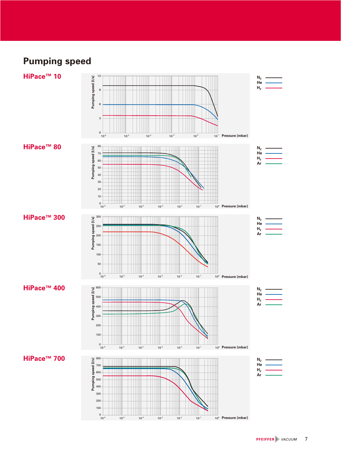### **Pumping speed**

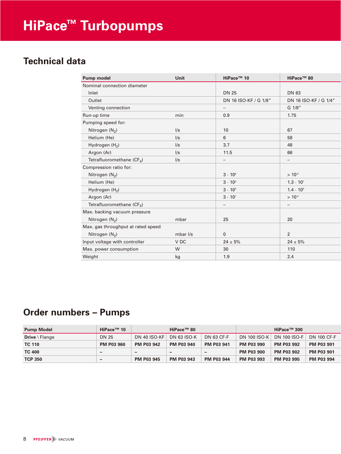#### **Technical data**

| Pump model                         | Unit       | HiPace <sup>™</sup> 10 | HiPace <sup>™</sup> 80   |
|------------------------------------|------------|------------------------|--------------------------|
| Nominal connection diameter        |            |                        |                          |
| Inlet                              |            | <b>DN 25</b>           | DN 63                    |
| Outlet                             |            | DN 16 ISO-KF / G 1/8"  | DN 16 ISO-KF / G 1/4"    |
| Venting connection                 |            | $\qquad \qquad -$      | G 1/8"                   |
| Run-up time                        | min        | 0.9                    | 1.75                     |
| Pumping speed for:                 |            |                        |                          |
| Nitrogen (N <sub>2</sub> )         | I/s        | 10                     | 67                       |
| Helium (He)                        | $\sqrt{s}$ | 6                      | 58                       |
| Hydrogen (H <sub>2</sub> )         | $\sqrt{s}$ | 3.7                    | 48                       |
| Argon (Ar)                         | $\sqrt{s}$ | 11.5                   | 66                       |
| Tetrafluoromethane ( $CF_A$ )      | $\sqrt{s}$ |                        |                          |
| Compression ratio for:             |            |                        |                          |
| Nitrogen $(N_2)$                   |            | $3 \cdot 10^{6}$       | $> 10^{11}$              |
| Helium (He)                        |            | $3 \cdot 10^{3}$       | $1.3 \cdot 10^{7}$       |
| Hydrogen (H <sub>2</sub> )         |            | $3 \cdot 10^{2}$       | $1.4 \cdot 10^{5}$       |
| Argon (Ar)                         |            | $3 \cdot 10^{7}$       | $> 10^{11}$              |
| Tetrafluoromethane ( $CF_4$ )      |            | —                      | $\overline{\phantom{0}}$ |
| Max. backing vacuum pressure       |            |                        |                          |
| Nitrogen $(N_2)$                   | mbar       | 25                     | 20                       |
| Max. gas throughput at rated speed |            |                        |                          |
| Nitrogen $(N_2)$                   | mbar I/s   | $\mathbf{0}$           | 2                        |
| Input voltage with controller      | V DC       | $24 \pm 5\%$           | $24 \pm 5\%$             |
| Max. power consumption             | W          | 30                     | 110                      |
| Weight                             | kg         | 1.9                    | 2.4                      |

### **Order numbers – Pumps**

| <b>Pump Model</b>                  | HiPace <sup>™</sup> 10   | HiPace <sup>™</sup> 80 |                    |                   | HiPace <sup>™</sup> 300 |                   |                   |  |  |
|------------------------------------|--------------------------|------------------------|--------------------|-------------------|-------------------------|-------------------|-------------------|--|--|
| <b>Drive</b> $\blacksquare$ Flange | DN 25                    | DN 40 ISO-KF           | <b>DN 63 ISO-K</b> | DN 63 CF-F        | <b>DN 100 ISO-K</b>     | DN 100 ISO-F      | DN 100 CF-F       |  |  |
| <b>TC 110</b>                      | <b>PM P03 960</b>        | <b>PM P03 942</b>      | <b>PM P03 940</b>  | <b>PM P03 941</b> | <b>PM P03 990</b>       | <b>PM P03 992</b> | <b>PM P03 991</b> |  |  |
| <b>TC 400</b>                      | $\overline{\phantom{0}}$ | -                      | -                  | -                 | <b>PM P03 900</b>       | <b>PM P03 902</b> | <b>PM P03 901</b> |  |  |
| <b>TCP 350</b>                     | $\overline{\phantom{0}}$ | <b>PM P03 945</b>      | <b>PM P03 943</b>  | <b>PM P03 944</b> | <b>PM P03 993</b>       | <b>PM P03 995</b> | <b>PM P03 994</b> |  |  |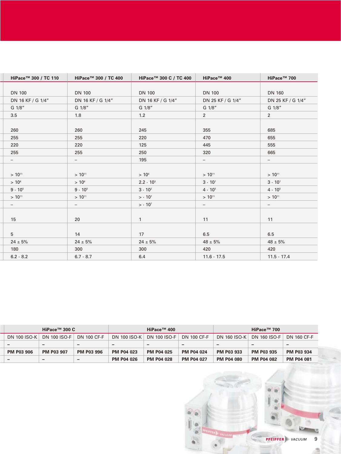| HiPace™ 300 / TC 110 | HiPace <sup>™</sup> 300 / TC 400 | HiPace™ 300 C / TC 400 | HiPace™ 400       | HiPace™ 700              |
|----------------------|----------------------------------|------------------------|-------------------|--------------------------|
|                      |                                  |                        |                   |                          |
| <b>DN 100</b>        | <b>DN 100</b>                    | <b>DN 100</b>          | <b>DN 100</b>     | <b>DN 160</b>            |
| DN 16 KF / G 1/4"    | DN 16 KF / G 1/4"                | DN 16 KF / G 1/4"      | DN 25 KF / G 1/4" | DN 25 KF / G 1/4"        |
| G 1/8"               | G 1/8"                           | G 1/8"                 | G 1/8"            | G 1/8"                   |
| 3.5                  | 1.8                              | 1.2                    | $2^{\circ}$       | $\overline{2}$           |
|                      |                                  |                        |                   |                          |
| 260                  | 260                              | 245                    | 355               | 685                      |
| 255                  | 255                              | 220                    | 470               | 655                      |
| 220                  | 220                              | 125                    | 445               | 555                      |
| 255                  | 255                              | 250                    | 320               | 665                      |
| $ \,$                | -                                | 195                    | -                 | -                        |
|                      |                                  |                        |                   |                          |
| $> 10^{11}$          | $> 10^{11}$                      | $> 10^6$               | $> 10^{11}$       | $> 10^{11}$              |
| $> 10^8$             | $> 10^8$                         | $2.2 \cdot 10^{3}$     | $3 \cdot 10^{7}$  | $3 \cdot 10^{7}$         |
| $9 \cdot 10^{5}$     | $9 \cdot 10^{5}$                 | $3 \cdot 10^{2}$       | $4 \cdot 10^{5}$  | $4 \cdot 10^{5}$         |
| $> 10^{11}$          | $> 10^{11}$                      | $> 10^{7}$             | $> 10^{11}$       | $> 10^{11}$              |
| $-$                  | $\overline{\phantom{0}}$         | $> 10^{7}$             | $\qquad \qquad -$ | $\overline{\phantom{0}}$ |
|                      |                                  |                        |                   |                          |
| 15                   | 20                               | 1                      | 11                | 11                       |
|                      |                                  |                        |                   |                          |
| 5                    | 14                               | 17                     | 6.5               | 6.5                      |
| $24 \pm 5%$          | $24 \pm 5%$                      | $24 \pm 5\%$           | $48 \pm 5\%$      | $48 \pm 5\%$             |
| 180                  | 300                              | 300                    | 420               | 420                      |
| $6.2 - 8.2$          | $6.7 - 8.7$                      | 6.4                    | $11.6 - 17.5$     | $11.5 - 17.4$            |

| HiPace™ 300 $C$   |                          |                          |                          | HiPace <sup>™</sup> 400 |                          | HiPace <sup>™</sup> 700 |                          |                          |  |
|-------------------|--------------------------|--------------------------|--------------------------|-------------------------|--------------------------|-------------------------|--------------------------|--------------------------|--|
| DN 100 ISO-K      | <b>DN 100 ISO-F</b>      | <b>DN 100 CF-F</b>       | <b>DN 100 ISO-K</b>      | DN 100 ISO-F            | DN 100 CF-F              | <b>DN 160 ISO-K</b>     | <b>DN 160 ISO-F</b>      | <b>DN 160 CF-F</b>       |  |
| -                 | $\overline{\phantom{0}}$ | $\overline{\phantom{0}}$ | $\overline{\phantom{0}}$ | -                       | $\overline{\phantom{0}}$ | -                       | $\overline{\phantom{0}}$ | $\overline{\phantom{0}}$ |  |
| <b>PM P03 906</b> | <b>PM P03 907</b>        | <b>PM P03 996</b>        | <b>PM P04 023</b>        | <b>PM P04 025</b>       | <b>PM P04 024</b>        | <b>PM P03 933</b>       | <b>PM P03 935</b>        | <b>PM P03 934</b>        |  |
|                   | -                        | -                        | <b>PM P04 026</b>        | <b>PM P04 028</b>       | <b>PM P04 027</b>        | <b>PM P04 080</b>       | <b>PM P04 082</b>        | <b>PM P04 081</b>        |  |

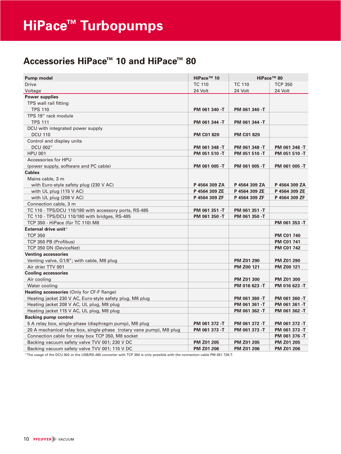### **Accessories HiPace™ 10 and HiPace™ 80**

| <b>Pump model</b>                                                   | HiPace <sup>™</sup> 10 |                   | HiPace <sup>™</sup> 80 |
|---------------------------------------------------------------------|------------------------|-------------------|------------------------|
| <b>Drive</b>                                                        | <b>TC 110</b>          | <b>TC 110</b>     | <b>TCP 350</b>         |
| Voltage                                                             | 24 Volt                | 24 Volt           | 24 Volt                |
| <b>Power supplies</b>                                               |                        |                   |                        |
| TPS wall rail fitting                                               |                        |                   |                        |
| <b>TPS 110</b>                                                      | PM 061 340 -T          | PM 061 340 -T     |                        |
| TPS 19" rack module                                                 |                        |                   |                        |
| <b>TPS 111</b>                                                      | PM 061 344 -T          | PM 061 344 -T     |                        |
| DCU with integrated power supply                                    |                        |                   |                        |
| <b>DCU 110</b>                                                      | <b>PM C01 820</b>      | <b>PM C01 820</b> |                        |
| Control and display units                                           |                        |                   |                        |
| DCU 002 <sup>1)</sup>                                               | PM 061 348 -T          | PM 061 348 -T     | PM 061 348 -T          |
| <b>HPU 001</b>                                                      | PM 051 510 -T          | PM 051 510 -T     | PM 051 510 -T          |
| <b>Accessories for HPU</b>                                          |                        |                   |                        |
| (power supply, software and PC cable)                               | PM 061 005 -T          | PM 061 005 -T     | PM 061 005 -T          |
| <b>Cables</b>                                                       |                        |                   |                        |
| Mains cable, 3 m                                                    |                        |                   |                        |
| with Euro-style safety plug (230 V AC)                              | P 4564 309 ZA          | P 4564 309 ZA     | P 4564 309 ZA          |
| with UL plug $(115 V AC)$                                           | P 4564 309 ZE          | P 4564 309 ZE     | P 4564 309 ZE          |
| with UL plug (208 V AC)                                             | P 4564 309 ZF          | P 4564 309 ZF     | P 4564 309 ZF          |
| Connection cable, 3 m                                               |                        |                   |                        |
| TC 110 - TPS/DCU 110/180 with accessory ports, RS-485               | PM 061 351 -T          | PM 061 351 -T     |                        |
| TC 110 - TPS/DCU 110/180 with bridges, RS-485                       | PM 061 350 -T          | PM 061 350 -T     |                        |
| TCP 350 - HiPace (für TC 110) M8                                    |                        |                   | PM 061 353 -T          |
| External drive unit <sup>11</sup>                                   |                        |                   |                        |
| <b>TCP 350</b>                                                      |                        |                   | <b>PM C01 740</b>      |
| TCP 350 PB (Profibus)                                               |                        |                   | PM C01 741             |
| TCP 350 DN (DeviceNet)                                              |                        |                   | <b>PM C01 742</b>      |
| <b>Venting accessories</b>                                          |                        |                   |                        |
| Venting valve, G1/8"; with cable, M8 plug                           |                        | PM Z01 290        | PM Z01 290             |
| Air drier TTV 001                                                   |                        | PM Z00 121        | PM Z00 121             |
| <b>Cooling accessories</b>                                          |                        |                   |                        |
| Air cooling                                                         |                        | <b>PM Z01 300</b> | <b>PM Z01 300</b>      |
| Water cooling                                                       |                        | PM 016 623 -T     | PM 016 623 -T          |
| Heating accessories (Only for CF-F flange)                          |                        |                   |                        |
| Heating jacket 230 V AC, Euro-style safety plug, M8 plug            |                        | PM 061 360 -T     | PM 061 360 -T          |
| Heating jacket 208 V AC, UL plug, M8 plug                           |                        | PM 061 361 -T     | PM 061 361 -T          |
| Heating jacket 115 V AC, UL plug, M8 plug                           |                        | PM 061 362 -T     | PM 061 362 -T          |
| <b>Backing pump control</b>                                         |                        |                   |                        |
| 5 A relay box, single-phase (diaphragm pump), M8 plug               | PM 061 372 -T          | PM 061 372 -T     | PM 061 372 -T          |
| 20 A mechanical relay box, single-phase (rotary vane pump), M8 plug | PM 061 373 -T          | PM 061 373 -T     | PM 061 373 -T          |
| Connection cable for relay box TCP 350, M8 socket                   |                        |                   | PM 061 376 -T          |
| Backing vacuum safety valve TVV 001; 230 V DC                       | <b>PM Z01 205</b>      | <b>PM Z01 205</b> | PM Z01 205             |
| Backing vacuum safety valve TVV 001; 115 V DC                       | <b>PM Z01 206</b>      | <b>PM Z01 206</b> | <b>PM Z01 206</b>      |

1) The usage of the DCU 002 or the USB/RS-485 converter with TCP 350 is only possible with the connection cable PM 051 726-T.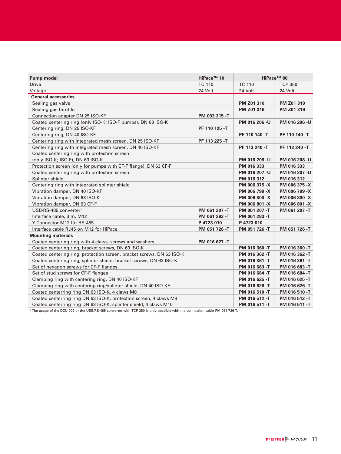| <b>Pump model</b>                                                     | HiPace <sup>™</sup> 10 |                | HiPace <sup>™</sup> 80 |
|-----------------------------------------------------------------------|------------------------|----------------|------------------------|
| <b>Drive</b>                                                          | <b>TC 110</b>          | <b>TC 110</b>  | <b>TCP 350</b>         |
| Voltage                                                               | 24 Volt                | 24 Volt        | 24 Volt                |
| <b>General accessories</b>                                            |                        |                |                        |
| Sealing gas valve                                                     |                        | PM Z01 310     | PM Z01 310             |
| Sealing gas throttle                                                  |                        | PM Z01 316     | PM Z01 316             |
| Connection adapter DN 25 ISO-KF                                       | PM 093 315 -T          |                |                        |
| Coated centering ring (only ISO-K; ISO-F pumps), DN 63 ISO-K          |                        | PM 016 206 -U  | PM 016 206 - U         |
| Centering ring, DN 25 ISO-KF                                          | PF 110 125 -T          |                |                        |
| Centering ring, DN 40 ISO-KF                                          |                        | PF 110 140 -T  | PF 110 140 -T          |
| Centering ring with integrated mesh screen, DN 25 ISO-KF              | PF 113 225 -T          |                |                        |
| Centering ring with integrated mesh screen, DN 40 ISO-KF              |                        | PF 113 240 -T  | PF 113 240 -T          |
| Coated centering ring with protection screen                          |                        |                |                        |
| (only ISO-K; ISO-F), DN 63 ISO-K                                      |                        | PM 016 208 -U  | PM 016 208 - U         |
| Protection screen (only for pumps with CF-F flange), DN 63 CF-F       |                        | PM 016 333     | PM 016 333             |
| Coated centering ring with protection screen                          |                        | PM 016 207 - U | PM 016 207 - U         |
| Splinter shield                                                       |                        | PM 016 312     | PM 016 312             |
| Centering ring with integrated splinter shield                        |                        | PM 006 375 -X  | PM 006 375 -X          |
| Vibration damper, DN 40 ISO-KF                                        |                        | PM 006 799 -X  | PM 006 799 -X          |
| Vibration damper, DN 63 ISO-K                                         |                        | PM 006 800 -X  | PM 006 800 -X          |
| Vibration damper, DN 63 CF-F                                          |                        | PM 006 801 -X  | PM 006 801 -X          |
| USB/RS-485 converter <sup>1)</sup>                                    | PM 061 207 -T          | PM 061 207 -T  | PM 061 207 -T          |
| Interface cable, 3 m, M12                                             | PM 061 283 -T          | PM 061 283 -T  |                        |
| Y-Connector M12 für RS-485                                            | P 4723 010             | P 4723 010     |                        |
| Interface cable RJ45 on M12 for HiPace                                | PM 051 726 -T          | PM 051 726 -T  | PM 051 726 -T          |
| <b>Mounting materials</b>                                             |                        |                |                        |
| Coated centering ring with 4 claws, screws and washers                | PM 016 627 -T          |                |                        |
| Coated centering ring, bracket screws, DN 63 ISO-K                    |                        | PM 016 360 -T  | PM 016 360 -T          |
| Coated centering ring, protection screen, bracket screws, DN 63 ISO-K |                        | PM 016 362 -T  | PM 016 362 -T          |
| Coated centering ring, splinter shield, bracket screws, DN 63 ISO-K   |                        | PM 016 361 -T  | PM 016 361 -T          |
| Set of hexagon screws for CF-F flanges                                |                        | PM 016 683 -T  | PM 016 683 -T          |
| Set of stud screws for CF-F flanges                                   |                        | PM 016 684 -T  | PM 016 684 -T          |
| Clamping ring with centering ring, DN 40 ISO-KF                       |                        | PM 016 625 -T  | PM 016 625 -T          |
| Clamping ring with centering ring/splinter shield, DN 40 ISO-KF       |                        | PM 016 626 -T  | PM 016 626 -T          |
| Coated centerring ring DN 63 ISO-K, 4 claws M8                        |                        | PM 016 510 -T  | PM 016 510 -T          |
| Coated centerring ring DN 63 ISO-K, protection screen, 4 claws M8     |                        | PM 016 512 -T  | PM 016 512 -T          |
| Coated centerring ring DN 63 ISO-K, splinter shield, 4 claws M10      |                        | PM 016 511 -T  | PM 016 511 -T          |

<sup>1)</sup> The usage of the DCU 002 or the USB/RS-485 converter with TCP 350 is only possible with the connection cable PM 051 726-T.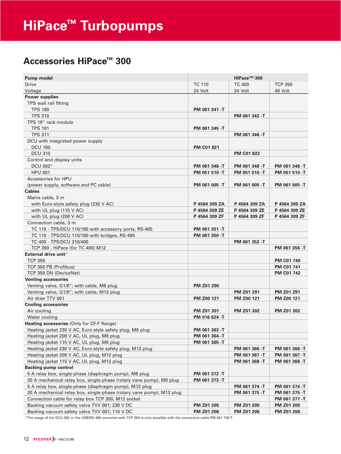### **Accessories HiPace™ 300**

| <b>Pump model</b>                                                    |                   | HiPace™ 300       |                   |
|----------------------------------------------------------------------|-------------------|-------------------|-------------------|
| Drive                                                                | <b>TC 110</b>     | <b>TC 400</b>     | <b>TCP 350</b>    |
| Voltage                                                              | 24 Volt           | 24 Volt           | 48 Volt           |
| <b>Power supplies</b>                                                |                   |                   |                   |
| TPS wall rail fitting                                                |                   |                   |                   |
| <b>TPS 180</b>                                                       | PM 061 341 -T     |                   |                   |
| <b>TPS 310</b>                                                       |                   | PM 061 342 -T     |                   |
| TPS 19" rack module                                                  |                   |                   |                   |
| <b>TPS 181</b>                                                       | PM 061 345 -T     |                   |                   |
| <b>TPS 311</b>                                                       |                   | PM 061 346 -T     |                   |
| DCU with integrated power supply                                     |                   |                   |                   |
| <b>DCU 180</b>                                                       | <b>PM C01 821</b> |                   |                   |
| <b>DCU 310</b>                                                       |                   | <b>PM C01 822</b> |                   |
| Control and display units                                            |                   |                   |                   |
| DCU 002 <sup>1)</sup>                                                | PM 061 348 -T     | PM 061 348 -T     | PM 061 348 -T     |
| <b>HPU 001</b>                                                       | PM 051 510 -T     | PM 051 510 -T     | PM 051 510 -T     |
| Accessories for HPU                                                  |                   |                   |                   |
| (power supply, software and PC cable)                                | PM 061 005 -T     | PM 061 005 -T     | PM 061 005 -T     |
| <b>Cables</b>                                                        |                   |                   |                   |
| Mains cable, 3 m                                                     |                   |                   |                   |
| with Euro-style safety plug (230 V AC)                               | P 4564 309 ZA     | P 4564 309 ZA     | P 4564 309 ZA     |
| with UL plug $(115 V AC)$                                            | P 4564 309 ZE     | P 4564 309 ZE     | P 4564 309 ZE     |
| with UL plug (208 V AC)                                              | P 4564 309 ZF     | P 4564 309 ZF     | P 4564 309 ZF     |
| Connection cable, 3 m                                                |                   |                   |                   |
| TC 110 - TPS/DCU 110/180 with accessory ports, RS-485                | PM 061 351 -T     |                   |                   |
| TC 110 - TPS/DCU 110/180 with bridges, RS-485                        | PM 061 350 -T     |                   |                   |
| TC 400 - TPS/DCU 310/400                                             |                   | PM 061 352 -T     |                   |
| TCP 350 - HiPace (for TC 400) M12                                    |                   |                   | PM 061 356 -T     |
| External drive unit <sup>11</sup>                                    |                   |                   |                   |
| <b>TCP 350</b>                                                       |                   |                   | <b>PM C01 740</b> |
| TCP 350 PB (Profibus)                                                |                   |                   | <b>PM C01 741</b> |
| TCP 350 DN (DeviceNet)                                               |                   |                   | <b>PM C01 742</b> |
| <b>Venting accessories</b>                                           |                   |                   |                   |
| Venting valve, G1/8"; with cable, M8 plug                            | <b>PM Z01 290</b> |                   |                   |
| Venting valve, G1/8"; with cable, M12 plug                           |                   | PM Z01 291        | <b>PM Z01 291</b> |
| Air drier TTV 001                                                    | PM Z00 121        | PM Z00 121        | PM Z00 121        |
| <b>Cooling accessories</b>                                           |                   |                   |                   |
| Air cooling                                                          | <b>PM Z01 301</b> | PM Z01 302        | <b>PM Z01 302</b> |
| Water cooling                                                        | PM 016 624 -T     |                   |                   |
| Heating accessories (Only for CF-F flange)                           |                   |                   |                   |
| Heating jacket 230 V AC, Euro-style safety plug, M8 plug             | PM 061 363 -T     |                   |                   |
| Heating jacket 208 V AC, UL plug, M8 plug                            | PM 061 364 -T     |                   |                   |
| Heating jacket 115 V AC, UL plug, M8 plug                            | PM 061 365 -T     |                   |                   |
| Heating jacket 230 V AC, Euro-style safety plug, M12 plug            |                   | PM 061 366 -T     | PM 061 366 -T     |
| Heating jacket 208 V AC, UL plug, M12 plug                           |                   | PM 061 367 -T     | PM 061 367 -T     |
| Heating jacket 115 V AC, UL plug, M12 plug                           |                   | PM 061 368 -T     | PM 061 368 -T     |
| <b>Backing pump control</b>                                          |                   |                   |                   |
| 5 A relay box, single-phase (diaphragm pump), M8 plug                | PM 061 372 -T     |                   |                   |
| 20 A mechanical relay box, single-phase (rotary vane pump), M8 plug  | PM 061 373 -T     |                   |                   |
| 5 A relay box, single-phase (diaphragm pump), M12 plug               |                   | PM 061 374 -T     | PM 061 374 -T     |
| 20 A mechanical relay box, single-phase (rotary vane pump), M12 plug |                   | PM 061 375 -T     | PM 061 375 -T     |
| Connection cable for relay box TCP 350, M12 socket                   |                   |                   | PM 061 377 -T     |
| Backing vacuum safety valve TVV 001; 230 V DC                        | PM Z01 205        | PM Z01 205        | PM Z01 205        |
| Backing vacuum safety valve TVV 001; 115 V DC                        | PM Z01 206        | PM Z01 206        | PM Z01 206        |

1) The usage of the DCU 002 or the USB/RS-485 converter with TCP 350 is only possible with the connection cable PM 051 726-T.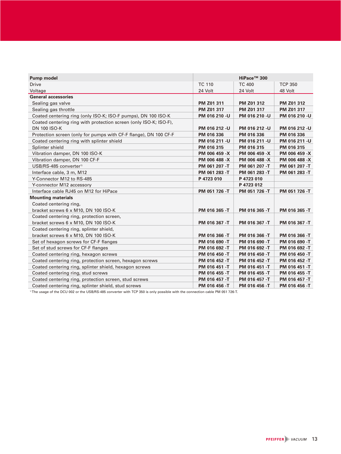| <b>Pump model</b>                                                 |                | HiPace™ 300    |                   |
|-------------------------------------------------------------------|----------------|----------------|-------------------|
| <b>Drive</b>                                                      | <b>TC 110</b>  | <b>TC 400</b>  | <b>TCP 350</b>    |
| Voltage                                                           | 24 Volt        | 24 Volt        | 48 Volt           |
| <b>General accessories</b>                                        |                |                |                   |
| Sealing gas valve                                                 | PM Z01 311     | PM Z01 312     | <b>PM Z01 312</b> |
| Sealing gas throttle                                              | PM Z01 317     | PM Z01 317     | PM Z01 317        |
| Coated centering ring (only ISO-K; ISO-F pumps), DN 100 ISO-K     | PM 016 210 -U  | PM 016 210 -U  | PM 016 210 -U     |
| Coated centering ring with protection screen (only ISO-K; ISO-F), |                |                |                   |
| <b>DN 100 ISO-K</b>                                               | PM 016 212 -U  | PM 016 212 -U  | PM 016 212 -U     |
| Protection screen (only for pumps with CF-F flange), DN 100 CF-F  | PM 016 336     | PM 016 336     | PM 016 336        |
| Coated centering ring with splinter shield                        | PM 016 211 - U | PM 016 211 - U | PM 016 211 - U    |
| Splinter shield                                                   | PM 016 315     | PM 016 315     | PM 016 315        |
| Vibration damper, DN 100 ISO-K                                    | PM 006 459 -X  | PM 006 459 -X  | PM 006 459 -X     |
| Vibration damper, DN 100 CF-F                                     | PM 006 488 -X  | PM 006 488 -X  | PM 006 488 -X     |
| USB/RS-485 converter <sup>1)</sup>                                | PM 061 207 -T  | PM 061 207 -T  | PM 061 207 -T     |
| Interface cable, 3 m, M12                                         | PM 061 283 -T  | PM 061 283 -T  | PM 061 283 -T     |
| Y-Connector M12 to RS-485                                         | P 4723 010     | P 4723 010     |                   |
| Y-connector M12 accessory                                         |                | P 4723 012     |                   |
| Interface cable RJ45 on M12 for HiPace                            | PM 051 726 -T  | PM 051 726 -T  | PM 051 726 -T     |
| <b>Mounting materials</b>                                         |                |                |                   |
| Coated centering ring,                                            |                |                |                   |
| bracket screws 6 x M10, DN 100 ISO-K                              | PM 016 365 -T  | PM 016 365 -T  | PM 016 365 -T     |
| Coated centering ring, protection screen,                         |                |                |                   |
| bracket screws 6 x M10, DN 100 ISO-K                              | PM 016 367 -T  | PM 016 367 -T  | PM 016 367 -T     |
| Coated centering ring, splinter shield,                           |                |                |                   |
| bracket screws 6 x M10, DN 100 ISO-K                              | PM 016 366 -T  | PM 016 366 -T  | PM 016 366 -T     |
| Set of hexagon screws for CF-F flanges                            | PM 016 690 -T  | PM 016 690 -T  | PM 016 690 -T     |
| Set of stud screws for CF-F flanges                               | PM 016 692 -T  | PM 016 692 -T  | PM 016 692 -T     |
| Coated centering ring, hexagon screws                             | PM 016 450 -T  | PM 016 450 -T  | PM 016 450 -T     |
| Coated centering ring, protection screen, hexagon screws          | PM 016 452 -T  | PM 016 452 -T  | PM 016 452 -T     |
| Coated centering ring, splinter shield, hexagon screws            | PM 016 451 -T  | PM 016 451 -T  | PM 016 451 -T     |
| Coated centering ring, stud screws                                | PM 016 455 -T  | PM 016 455 -T  | PM 016 455 -T     |
| Coated centering ring, protection screen, stud screws             | PM 016 457 -T  | PM 016 457 -T  | PM 016 457 -T     |
| Coated centering ring, splinter shield, stud screws               | PM 016 456 -T  | PM 016 456 -T  | PM 016 456 -T     |

<sup>1)</sup> The usage of the DCU 002 or the USB/RS-485 converter with TCP 350 is only possible with the connection cable PM 051 726-T.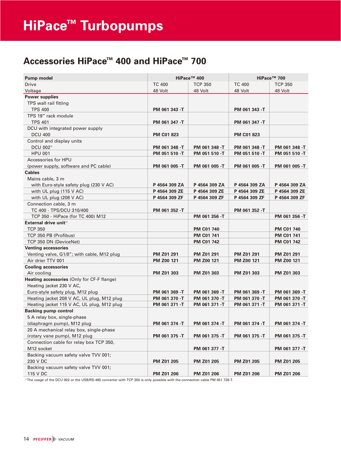### **Accessories HiPace™ 400 and HiPace™ 700**

| Pump model                                 |                   | HiPace <sup>™</sup> 400 | HiPace™ 700       |                   |  |  |
|--------------------------------------------|-------------------|-------------------------|-------------------|-------------------|--|--|
| <b>Drive</b>                               | <b>TC 400</b>     | <b>TCP 350</b>          | <b>TC 400</b>     | <b>TCP 350</b>    |  |  |
| Voltage                                    | 48 Volt           | 48 Volt                 | 48 Volt           | 48 Volt           |  |  |
| <b>Power supplies</b>                      |                   |                         |                   |                   |  |  |
| TPS wall rail fitting                      |                   |                         |                   |                   |  |  |
| <b>TPS 400</b>                             | PM 061 343 -T     |                         | PM 061 343 -T     |                   |  |  |
| TPS 19" rack module                        |                   |                         |                   |                   |  |  |
| <b>TPS 401</b>                             | PM 061 347 -T     |                         | PM 061 347 -T     |                   |  |  |
| DCU with integrated power supply           |                   |                         |                   |                   |  |  |
| <b>DCU 400</b>                             | <b>PM C01 823</b> |                         | <b>PM C01 823</b> |                   |  |  |
| Control and display units                  |                   |                         |                   |                   |  |  |
| DCU 002 <sup>1)</sup>                      | PM 061 348 -T     | PM 061 348 -T           | PM 061 348 -T     | PM 061 348 -T     |  |  |
| <b>HPU 001</b>                             | PM 051 510 -T     | PM 051 510 -T           | PM 051 510 -T     | PM 051 510 -T     |  |  |
| Accessories for HPU                        |                   |                         |                   |                   |  |  |
| (power supply, software and PC cable)      | PM 061 005 -T     | PM 061 005 -T           | PM 061 005 -T     | PM 061 005 -T     |  |  |
| <b>Cables</b>                              |                   |                         |                   |                   |  |  |
| Mains cable, 3 m                           |                   |                         |                   |                   |  |  |
| with Euro-style safety plug (230 V AC)     | P 4564 309 ZA     | P 4564 309 ZA           | P 4564 309 ZA     | P 4564 309 ZA     |  |  |
| with UL plug (115 V AC)                    | P 4564 309 ZE     | P 4564 309 ZE           | P 4564 309 ZE     | P 4564 309 ZE     |  |  |
| with UL plug (208 V AC)                    | P 4564 309 ZF     | P 4564 309 ZF           | P 4564 309 ZF     | P 4564 309 ZF     |  |  |
| Connection cable, 3 m                      |                   |                         |                   |                   |  |  |
| TC 400 - TPS/DCU 310/400                   | PM 061 352 -T     |                         | PM 061 352 -T     |                   |  |  |
| TCP 350 - HiPace (for TC 400) M12          |                   | PM 061 356 -T           |                   | PM 061 356 -T     |  |  |
| External drive unit <sup>11</sup>          |                   |                         |                   |                   |  |  |
| <b>TCP 350</b>                             |                   | <b>PM C01 740</b>       |                   | <b>PM C01 740</b> |  |  |
| TCP 350 PB (Profibus)                      |                   | <b>PM C01 741</b>       |                   | <b>PM C01 741</b> |  |  |
| TCP 350 DN (DeviceNet)                     |                   | <b>PM C01 742</b>       |                   | <b>PM C01 742</b> |  |  |
| <b>Venting accessories</b>                 |                   |                         |                   |                   |  |  |
| Venting valve, G1/8"; with cable, M12 plug | PM Z01 291        | PM Z01 291              | PM Z01 291        | PM Z01 291        |  |  |
| Air drier TTV 001                          | PM Z00 121        | <b>PM Z00 121</b>       | PM Z00 121        | PM Z00 121        |  |  |
| <b>Cooling accessories</b>                 |                   |                         |                   |                   |  |  |
| Air cooling                                | PM Z01 303        | PM Z01 303              | PM Z01 303        | PM Z01 303        |  |  |
| Heating accessories (Only for CF-F flange) |                   |                         |                   |                   |  |  |
| Heating jacket 230 V AC,                   |                   |                         |                   |                   |  |  |
| Euro-style safety plug, M12 plug           | PM 061 369 -T     | PM 061 369 -T           | PM 061 369 -T     | PM 061 369 -T     |  |  |
| Heating jacket 208 V AC, UL plug, M12 plug | PM 061 370 -T     | PM 061 370 -T           | PM 061 370 -T     | PM 061 370 -T     |  |  |
| Heating jacket 115 V AC, UL plug, M12 plug | PM 061 371 -T     | PM 061 371 -T           | PM 061 371 -T     | PM 061 371 -T     |  |  |
| <b>Backing pump control</b>                |                   |                         |                   |                   |  |  |
| 5 A relay box, single-phase                |                   |                         |                   |                   |  |  |
| (diaphragm pump), M12 plug                 | PM 061 374 -T     | PM 061 374 -T           | PM 061 374 -T     | PM 061 374 -T     |  |  |
| 20 A mechanical relay box, single-phase    |                   |                         |                   |                   |  |  |
| (rotary vane pump), M12 plug               | PM 061 375 -T     | PM 061 375 -T           | PM 061 375 -T     | PM 061 375 -T     |  |  |
| Connection cable for relay box TCP 350,    |                   |                         |                   |                   |  |  |
| M12 socket                                 |                   | PM 061 377 -T           |                   | PM 061 377 -T     |  |  |
| Backing vacuum safety valve TVV 001;       |                   |                         |                   |                   |  |  |
| 230 V DC                                   | PM Z01 205        | PM Z01 205              | PM Z01 205        | PM Z01 205        |  |  |
| Backing vacuum safety valve TVV 001;       |                   |                         |                   |                   |  |  |
| 115 V DC                                   | PM Z01 206        | PM Z01 206              | PM Z01 206        | PM Z01 206        |  |  |
|                                            |                   |                         |                   |                   |  |  |

1) The usage of the DCU 002 or the USB/RS-485 converter with TCP 350 is only possible with the connection cable PM 051 726-T.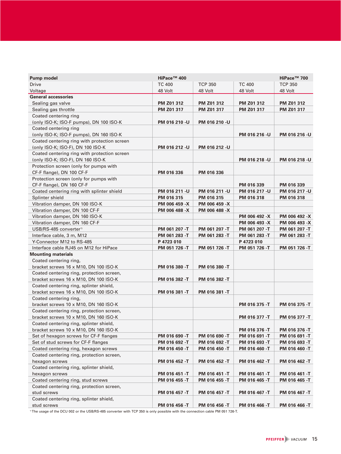| <b>Pump model</b>                            | HiPace™ 400   |                |               | HiPace <sup>™</sup> 700 |
|----------------------------------------------|---------------|----------------|---------------|-------------------------|
| <b>Drive</b>                                 | <b>TC 400</b> | <b>TCP 350</b> | <b>TC 400</b> | <b>TCP 350</b>          |
| Voltage                                      | 48 Volt       | 48 Volt        | 48 Volt       | 48 Volt                 |
| <b>General accessories</b>                   |               |                |               |                         |
| Sealing gas valve                            | PM Z01 312    | PM Z01 312     | PM Z01 312    | PM Z01 312              |
| Sealing gas throttle                         | PM Z01 317    | PM Z01 317     | PM Z01 317    | PM Z01 317              |
| Coated centering ring                        |               |                |               |                         |
| (only ISO-K; ISO-F pumps), DN 100 ISO-K      | PM 016 210 -U | PM 016 210 -U  |               |                         |
| Coated centering ring                        |               |                |               |                         |
| (only ISO-K; ISO-F pumps), DN 160 ISO-K      |               |                | PM 016 216 -U | PM 016 216 -U           |
| Coated centering ring with protection screen |               |                |               |                         |
| (only ISO-K; ISO-F), DN 100 ISO-K            | PM 016 212 -U | PM 016 212 -U  |               |                         |
| Coated centering ring with protection screen |               |                |               |                         |
| (only ISO-K; ISO-F), DN 160 ISO-K            |               |                | PM 016 218 -U | PM 016 218 -U           |
| Protection screen (only for pumps with       |               |                |               |                         |
| CF-F flange), DN 100 CF-F                    | PM 016 336    | PM 016 336     |               |                         |
| Protection screen (only for pumps with       |               |                |               |                         |
| CF-F flange), DN 160 CF-F                    |               |                | PM 016 339    | PM 016 339              |
| Coated centering ring with splinter shield   | PM 016 211 -U | PM 016 211 -U  | PM 016 217 -U | PM 016 217 -U           |
| Splinter shield                              | PM 016 315    | PM 016 315     | PM 016 318    | PM 016 318              |
| Vibration damper, DN 100 ISO-K               | PM 006 459 -X | PM 006 459 -X  |               |                         |
| Vibration damper, DN 100 CF-F                | PM 006 488 -X | PM 006 488 -X  |               |                         |
| Vibration damper, DN 160 ISO-K               |               |                | PM 006 492 -X | PM 006 492 -X           |
| Vibration damper, DN 160 CF-F                |               |                | PM 006 493 -X | PM 006 493 -X           |
| USB/RS-485 converter <sup>1)</sup>           | PM 061 207 -T | PM 061 207 -T  | PM 061 207 -T | PM 061 207 -T           |
| Interface cable, 3 m, M12                    | PM 061 283 -T | PM 061 283 -T  | PM 061 283 -T | PM 061 283 -T           |
| Y-Connector M12 to RS-485                    | P 4723 010    |                | P 4723 010    |                         |
| Interface cable RJ45 on M12 for HiPace       | PM 051 726 -T | PM 051 726 -T  | PM 051 726 -T | PM 051 726 -T           |
| <b>Mounting materials</b>                    |               |                |               |                         |
| Coated centering ring,                       |               |                |               |                         |
| bracket screws 16 x M10, DN 100 ISO-K        | PM 016 380 -T | PM 016 380 -T  |               |                         |
| Coated centering ring, protection screen,    |               |                |               |                         |
| bracket screws 16 x M10, DN 100 ISO-K        | PM 016 382 -T | PM 016 382 -T  |               |                         |
| Coated centering ring, splinter shield,      |               |                |               |                         |
| bracket screws 16 x M10, DN 100 ISO-K        | PM 016 381 -T | PM 016 381 -T  |               |                         |
| Coated centering ring,                       |               |                |               |                         |
| bracket screws 10 x M10, DN 160 ISO-K        |               |                | PM 016 375 -T | PM 016 375 -T           |
| Coated centering ring, protection screen,    |               |                |               |                         |
| bracket screws 10 x M10, DN 160 ISO-K        |               |                | PM 016 377 -T | PM 016 377 -T           |
| Coated centering ring, splinter shield,      |               |                |               |                         |
| bracket screws 10 x M10, DN 160 ISO-K        |               |                | PM 016 376 -T | PM 016 376 -T           |
| Set of hexagon screws for CF-F flanges       | PM 016 690 -T | PM 016 690 -T  | PM 016 691 -T | PM 016 691 -T           |
| Set of stud screws for CF-F flanges          | PM 016 692 -T | PM 016 692 -T  | PM 016 693 -T | PM 016 693 -T           |
| Coated centering ring, hexagon screws        | PM 016 450 -T | PM 016 450 -T  | PM 016 460 -T | PM 016 460 -T           |
| Coated centering ring, protection screen,    |               |                |               |                         |
| hexagon screws                               | PM 016 452 -T | PM 016 452 -T  | PM 016 462 -T | PM 016 462 -T           |
| Coated centering ring, splinter shield,      |               |                |               |                         |
| hexagon screws                               | PM 016 451 -T | PM 016 451 -T  | PM 016 461 -T | PM 016 461 -T           |
| Coated centering ring, stud screws           | PM 016 455 -T | PM 016 455 -T  | PM 016 465 -T | PM 016 465 -T           |
| Coated centering ring, protection screen,    |               |                |               |                         |
| stud screws                                  | PM 016 457 -T | PM 016 457 -T  | PM 016 467 -T | PM 016 467 -T           |
| Coated centering ring, splinter shield,      |               |                |               |                         |
| stud screws                                  | PM 016 456 -T | PM 016 456 -T  | PM 016 466 -T | PM 016 466 -T           |

<sup>1)</sup> The usage of the DCU 002 or the USB/RS-485 converter with TCP 350 is only possible with the connection cable PM 051 726-T.